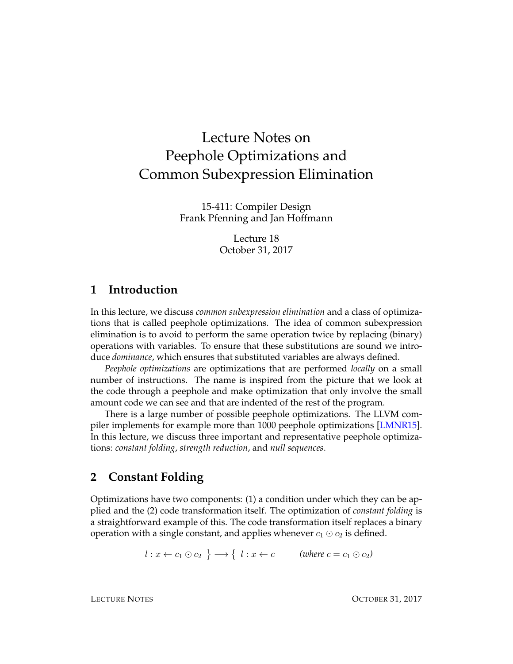# Lecture Notes on Peephole Optimizations and Common Subexpression Elimination

15-411: Compiler Design Frank Pfenning and Jan Hoffmann

> Lecture 18 October 31, 2017

## **1 Introduction**

In this lecture, we discuss *common subexpression elimination* and a class of optimizations that is called peephole optimizations. The idea of common subexpression elimination is to avoid to perform the same operation twice by replacing (binary) operations with variables. To ensure that these substitutions are sound we introduce *dominance*, which ensures that substituted variables are always defined.

*Peephole optimizations* are optimizations that are performed *locally* on a small number of instructions. The name is inspired from the picture that we look at the code through a peephole and make optimization that only involve the small amount code we can see and that are indented of the rest of the program.

There is a large number of possible peephole optimizations. The LLVM compiler implements for example more than 1000 peephole optimizations [\[LMNR15\]](#page-8-0). In this lecture, we discuss three important and representative peephole optimizations: *constant folding*, *strength reduction*, and *null sequences*.

## **2 Constant Folding**

Optimizations have two components: (1) a condition under which they can be applied and the (2) code transformation itself. The optimization of *constant folding* is a straightforward example of this. The code transformation itself replaces a binary operation with a single constant, and applies whenever  $c_1 \odot c_2$  is defined.

 $l:x\leftarrow c_1\odot c_2\ \big\}\longrightarrow\{\ \ l:x\leftarrow c\qquad \text{\text(where $c=c_1\odot c_2$)}$ 

LECTURE NOTES OCTOBER 31, 2017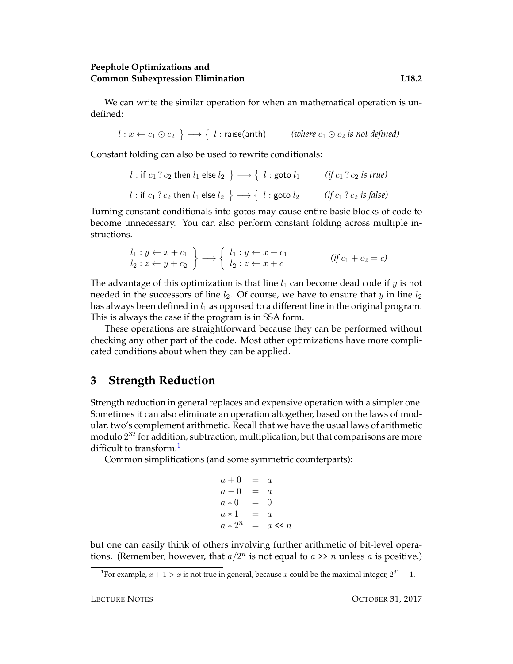We can write the similar operation for when an mathematical operation is undefined:

l : x ← c<sup>1</sup>  c<sup>2</sup> −→ l : raise(arith) *(where* c<sup>1</sup>  c<sup>2</sup> *is not defined)*

Constant folding can also be used to rewrite conditionals:

 $l:$  if  $c_1$   $?$   $c_2$  then  $l_1$  else  $l_2$   $\, \}\longrightarrow \{ \;l:$  goto  $l_1$   $\qquad \; (if\, c_1 \, ?\, c_2 \; is \; true)$  $l:$  if  $c_1$  ?  $c_2$  then  $l_1$  else  $l_2$   $\, \}\longrightarrow \{$  $\left($ *if*  $c_1$  ?  $c_2$  *is false*)

Turning constant conditionals into gotos may cause entire basic blocks of code to become unnecessary. You can also perform constant folding across multiple instructions.

$$
\begin{array}{c}\nl_1: y \leftarrow x + c_1 \\
l_2: z \leftarrow y + c_2\n\end{array}\right\} \longrightarrow \begin{cases}\nl_1: y \leftarrow x + c_1 \\
l_2: z \leftarrow x + c\n\end{cases} \quad (if \ c_1 + c_2 = c)\n\end{cases}
$$

The advantage of this optimization is that line  $l_1$  can become dead code if y is not needed in the successors of line  $l_2$ . Of course, we have to ensure that  $y$  in line  $l_2$ has always been defined in  $l_1$  as opposed to a different line in the original program. This is always the case if the program is in SSA form.

These operations are straightforward because they can be performed without checking any other part of the code. Most other optimizations have more complicated conditions about when they can be applied.

#### **3 Strength Reduction**

Strength reduction in general replaces and expensive operation with a simpler one. Sometimes it can also eliminate an operation altogether, based on the laws of modular, two's complement arithmetic. Recall that we have the usual laws of arithmetic modulo  $2^{32}$  for addition, subtraction, multiplication, but that comparisons are more difficult to transform. $<sup>1</sup>$  $<sup>1</sup>$  $<sup>1</sup>$ </sup>

Common simplifications (and some symmetric counterparts):

$$
a + 0 = a \n a - 0 = a \n a * 0 = 0 \n a * 1 = a \n a * 2n = a < a n
$$

but one can easily think of others involving further arithmetic of bit-level operations. (Remember, however, that  $a/2^n$  is not equal to  $a \gg n$  unless a is positive.)

<span id="page-1-0"></span><sup>&</sup>lt;sup>1</sup>For example,  $x + 1 > x$  is not true in general, because x could be the maximal integer,  $2^{31} - 1$ .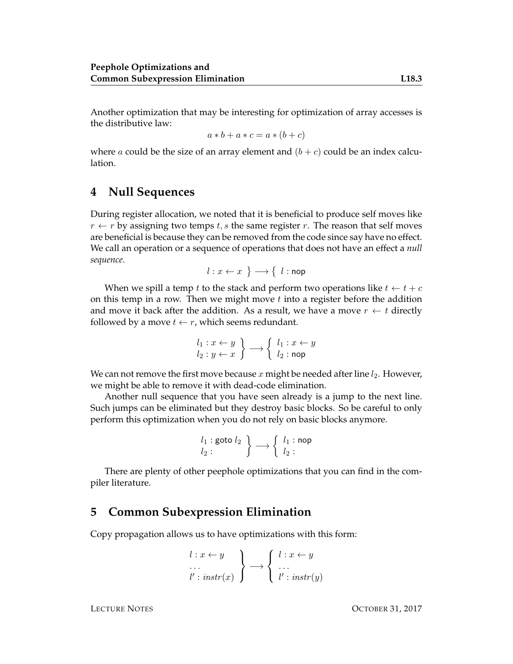Another optimization that may be interesting for optimization of array accesses is the distributive law:

$$
a * b + a * c = a * (b + c)
$$

where a could be the size of an array element and  $(b + c)$  could be an index calculation.

## **4 Null Sequences**

During register allocation, we noted that it is beneficial to produce self moves like  $r \leftarrow r$  by assigning two temps t, s the same register r. The reason that self moves are beneficial is because they can be removed from the code since say have no effect. We call an operation or a sequence of operations that does not have an effect a *null sequence*.

$$
l: x \leftarrow x \; \} \longrightarrow \{ \; l : \mathsf{nop}
$$

When we spill a temp t to the stack and perform two operations like  $t \leftarrow t + c$ on this temp in a row. Then we might move  $t$  into a register before the addition and move it back after the addition. As a result, we have a move  $r \leftarrow t$  directly followed by a move  $t \leftarrow r$ , which seems redundant.

$$
\begin{array}{l}\n l_1: x \leftarrow y \\
 l_2: y \leftarrow x\n \end{array}\n \right\} \longrightarrow\n \begin{cases}\n l_1: x \leftarrow y \\
 l_2: \mathsf{nop}\n \end{cases}
$$

We can not remove the first move because x might be needed after line  $l_2$ . However, we might be able to remove it with dead-code elimination.

Another null sequence that you have seen already is a jump to the next line. Such jumps can be eliminated but they destroy basic blocks. So be careful to only perform this optimization when you do not rely on basic blocks anymore.

$$
\begin{array}{c} l_1: \mathsf{goto}\ l_2 \\ l_2: \end{array} \bigg\} \longrightarrow \left\{ \begin{array}{c} l_1: \mathsf{nop} \\ l_2: \end{array} \right.
$$

There are plenty of other peephole optimizations that you can find in the compiler literature.

#### **5 Common Subexpression Elimination**

Copy propagation allows us to have optimizations with this form:

$$
\begin{cases}\n l: x \leftarrow y \\
 \cdots \\
 l': \text{instr}(x)\n\end{cases}\n\rightarrow\n\begin{cases}\n l: x \leftarrow y \\
 \cdots \\
 l': \text{instr}(y)\n\end{cases}
$$

LECTURE NOTES OCTOBER 31, 2017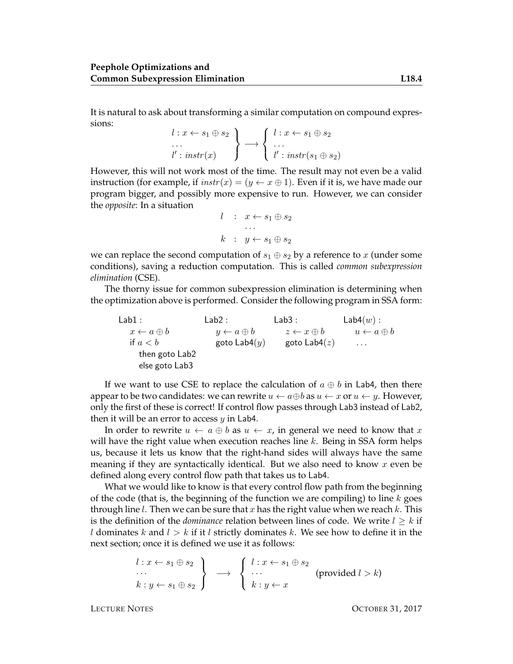It is natural to ask about transforming a similar computation on compound expressions:

$$
\begin{array}{l}\n l:x \leftarrow s_1 \oplus s_2 \\
 \ldots \\
 l': instr(x)\n \end{array}\n \rightarrow\n \begin{array}{l}\n l:x \leftarrow s_1 \oplus s_2 \\
 \ldots \\
 l': instr(s_1 \oplus s_2)\n \end{array}
$$

However, this will not work most of the time. The result may not even be a valid instruction (for example, if  $instr(x) = (y \leftarrow x \oplus 1)$ ). Even if it is, we have made our program bigger, and possibly more expensive to run. However, we can consider the *opposite*: In a situation

$$
l : x \leftarrow s_1 \oplus s_2
$$
  
...  

$$
k : y \leftarrow s_1 \oplus s_2
$$

we can replace the second computation of  $s_1 \oplus s_2$  by a reference to x (under some conditions), saving a reduction computation. This is called *common subexpression elimination* (CSE).

The thorny issue for common subexpression elimination is determining when the optimization above is performed. Consider the following program in SSA form:

 $Lab1:$  $x \leftarrow a \oplus b$ if  $a < b$ then goto Lab2 else goto Lab3  $Lab2:$  $y \leftarrow a \oplus b \qquad \qquad z \leftarrow x \oplus b$ goto  $\textsf{Lab4}(y)$ Lab3 : goto Lab $4(z)$  $\textsf{Lab4}(w)$ :  $u \leftarrow a \oplus b$ . . .

If we want to use CSE to replace the calculation of  $a \oplus b$  in Lab4, then there appear to be two candidates: we can rewrite  $u \leftarrow a \oplus b$  as  $u \leftarrow x$  or  $u \leftarrow y$ . However, only the first of these is correct! If control flow passes through Lab3 instead of Lab2, then it will be an error to access  $y$  in Lab4.

In order to rewrite  $u \leftarrow a \oplus b$  as  $u \leftarrow x$ , in general we need to know that x will have the right value when execution reaches line  $k$ . Being in SSA form helps us, because it lets us know that the right-hand sides will always have the same meaning if they are syntactically identical. But we also need to know  $x$  even be defined along every control flow path that takes us to Lab4.

What we would like to know is that every control flow path from the beginning of the code (that is, the beginning of the function we are compiling) to line  $k$  goes through line *l*. Then we can be sure that x has the right value when we reach  $k$ . This is the definition of the *dominance* relation between lines of code. We write  $l \geq k$  if l dominates k and  $l > k$  if it l strictly dominates k. We see how to define it in the next section; once it is defined we use it as follows:

$$
\begin{array}{c}\n l: x \leftarrow s_1 \oplus s_2 \\
 \cdots \\
 k: y \leftarrow s_1 \oplus s_2\n \end{array}\n \rightarrow \begin{array}{c}\n l: x \leftarrow s_1 \oplus s_2 \\
 \cdots \\
 k: y \leftarrow x\n \end{array}\n \quad (\text{provided } l > k)
$$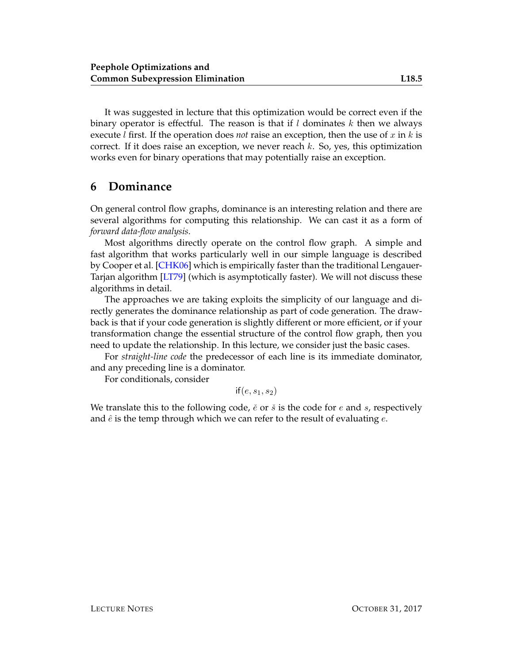It was suggested in lecture that this optimization would be correct even if the binary operator is effectful. The reason is that if  $l$  dominates  $k$  then we always execute *l* first. If the operation does *not* raise an exception, then the use of x in k is correct. If it does raise an exception, we never reach  $k$ . So, yes, this optimization works even for binary operations that may potentially raise an exception.

## **6 Dominance**

On general control flow graphs, dominance is an interesting relation and there are several algorithms for computing this relationship. We can cast it as a form of *forward data-flow analysis*.

Most algorithms directly operate on the control flow graph. A simple and fast algorithm that works particularly well in our simple language is described by Cooper et al. [\[CHK06\]](#page-8-1) which is empirically faster than the traditional Lengauer-Tarjan algorithm [\[LT79\]](#page-8-2) (which is asymptotically faster). We will not discuss these algorithms in detail.

The approaches we are taking exploits the simplicity of our language and directly generates the dominance relationship as part of code generation. The drawback is that if your code generation is slightly different or more efficient, or if your transformation change the essential structure of the control flow graph, then you need to update the relationship. In this lecture, we consider just the basic cases.

For *straight-line code* the predecessor of each line is its immediate dominator, and any preceding line is a dominator.

For conditionals, consider

 $if(e, s_1, s_2)$ 

We translate this to the following code,  $\check{e}$  or  $\check{s}$  is the code for  $e$  and  $s$ , respectively and  $\hat{e}$  is the temp through which we can refer to the result of evaluating  $e$ .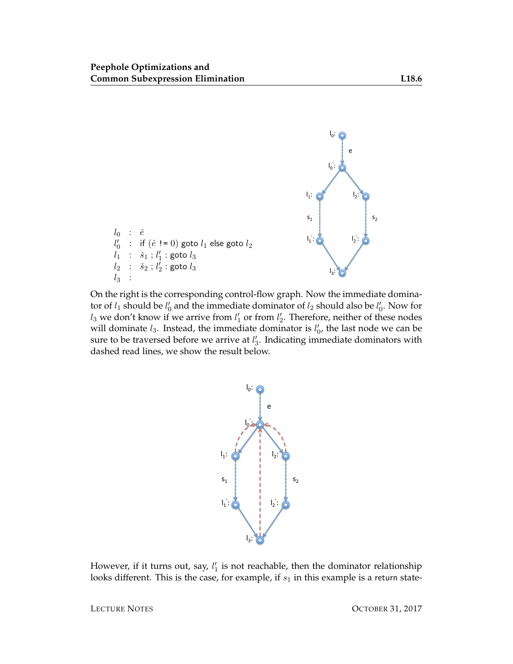

On the right is the corresponding control-flow graph. Now the immediate dominator of  $l_1$  should be  $l'_0$  and the immediate dominator of  $l_2$  should also be  $l'_0$ . Now for  $l_3$  we don't know if we arrive from  $l'_1$  or from  $l'_2$ . Therefore, neither of these nodes will dominate  $l_3$ . Instead, the immediate dominator is  $l'_0$ , the last node we can be sure to be traversed before we arrive at  $l'_3$ . Indicating immediate dominators with dashed read lines, we show the result below.



However, if it turns out, say,  $l_1'$  is not reachable, then the dominator relationship looks different. This is the case, for example, if  $s_1$  in this example is a return state-

LECTURE NOTES OCTOBER 31, 2017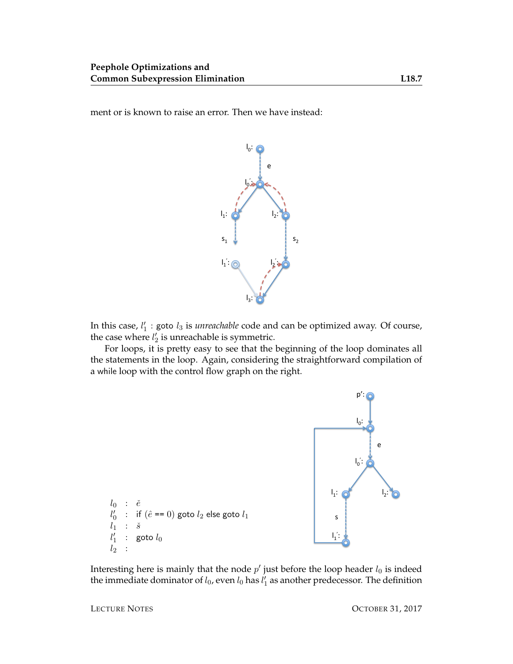ment or is known to raise an error. Then we have instead:



In this case,  $l'_1$  : goto  $l_3$  is *unreachable* code and can be optimized away. Of course, the case where  $l'_2$  is unreachable is symmetric.

For loops, it is pretty easy to see that the beginning of the loop dominates all the statements in the loop. Again, considering the straightforward compilation of a while loop with the control flow graph on the right.



Interesting here is mainly that the node  $p'$  just before the loop header  $l_0$  is indeed the immediate dominator of  $l_0$ , even  $l_0$  has  $l'_1$  as another predecessor. The definition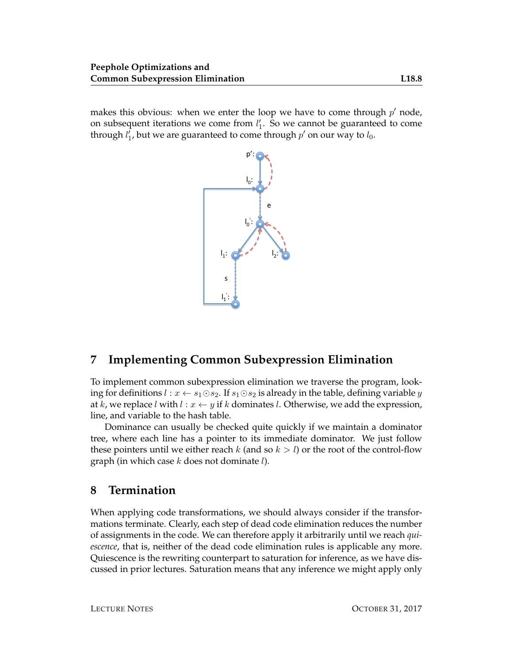makes this obvious: when we enter the loop we have to come through  $p'$  node, on subsequent iterations we come from  $l'_1$ . So we cannot be guaranteed to come through  $l_1'$ , but we are guaranteed to come through  $p'$  on our way to  $l_0$ .



# **7 Implementing Common Subexpression Elimination**

To implement common subexpression elimination we traverse the program, looking for definitions  $l : x \leftarrow s_1 \odot s_2$ . If  $s_1 \odot s_2$  is already in the table, defining variable y at k, we replace l with  $l : x \leftarrow y$  if k dominates l. Otherwise, we add the expression, line, and variable to the hash table.

Dominance can usually be checked quite quickly if we maintain a dominator tree, where each line has a pointer to its immediate dominator. We just follow these pointers until we either reach k (and so  $k > l$ ) or the root of the control-flow graph (in which case  $k$  does not dominate  $l$ ).

## **8 Termination**

When applying code transformations, we should always consider if the transformations terminate. Clearly, each step of dead code elimination reduces the number of assignments in the code. We can therefore apply it arbitrarily until we reach *quiescence*, that is, neither of the dead code elimination rules is applicable any more. Quiescence is the rewriting counterpart to saturation for inference, as we have discussed in prior lectures. Saturation means that any inference we might apply only